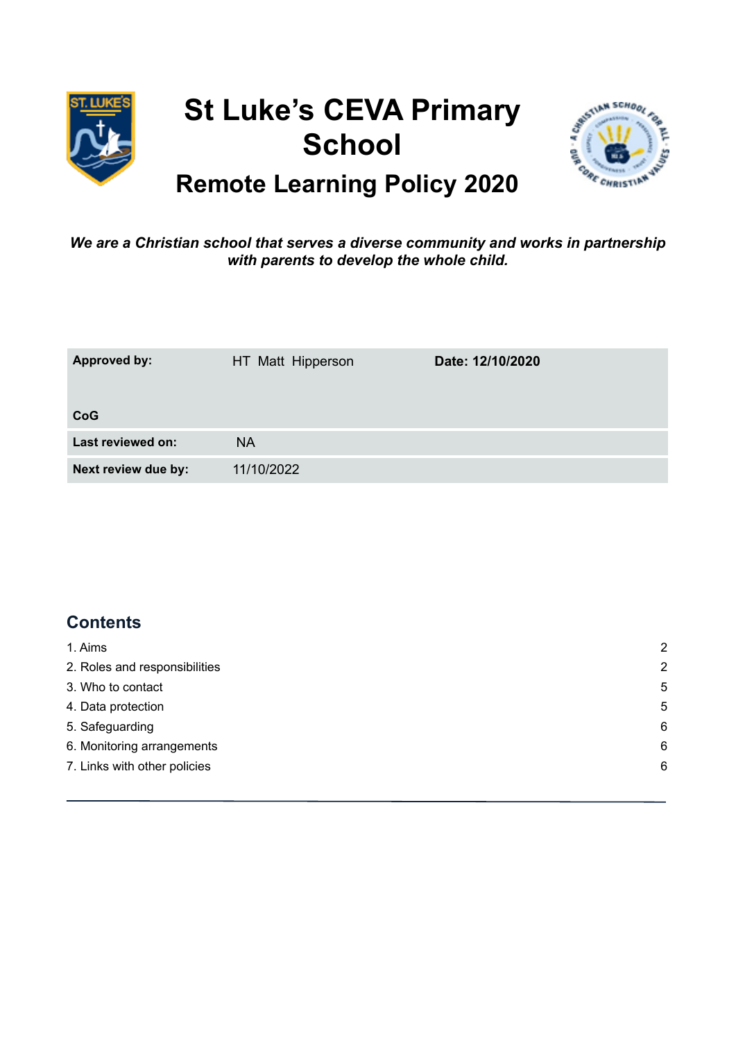

# **St Luke's CEVA Primary School**



## **Remote Learning Policy 2020**

#### *We are a Christian school that serves a diverse community and works in partnership with parents to develop the whole child.*

| <b>Approved by:</b> | HT Matt Hipperson | Date: 12/10/2020 |
|---------------------|-------------------|------------------|
| CoG                 |                   |                  |
| Last reviewed on:   | <b>NA</b>         |                  |
| Next review due by: | 11/10/2022        |                  |

## **Contents**

| 2              |
|----------------|
| $\overline{2}$ |
| 5              |
| 5              |
| 6              |
| 6              |
| 6              |
|                |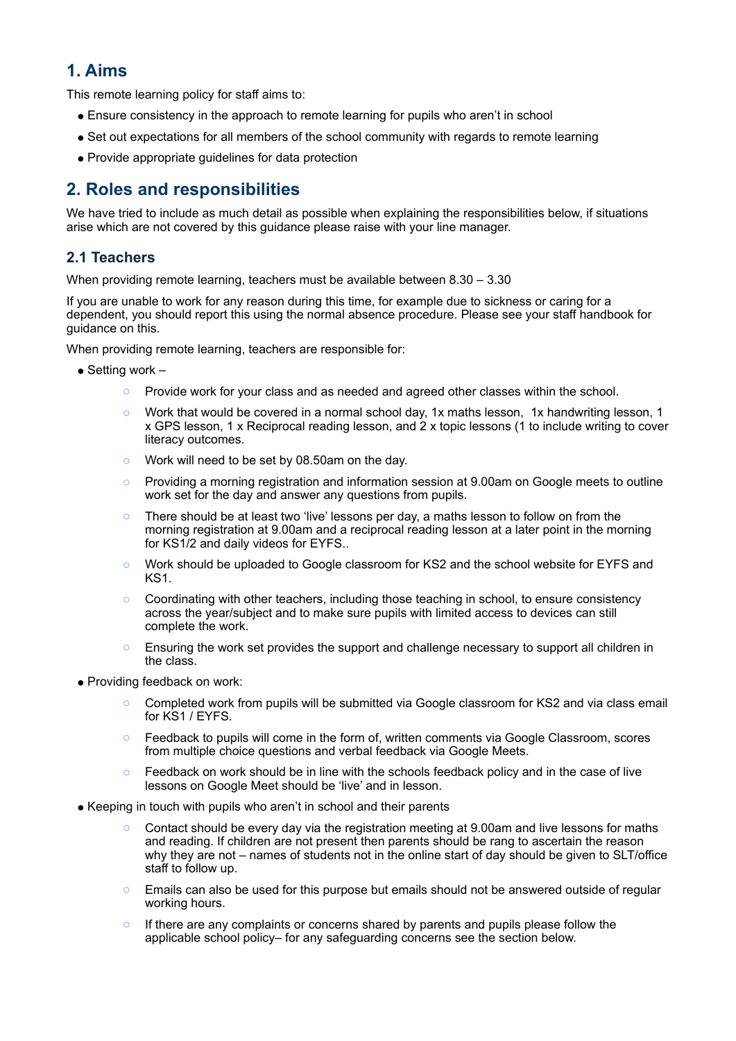## **1. Aims**

This remote learning policy for staff aims to:

- Ensure consistency in the approach to remote learning for pupils who aren't in school
- Set out expectations for all members of the school community with regards to remote learning
- <span id="page-1-1"></span>● Provide appropriate guidelines for data protection

### **2. Roles and responsibilities**

We have tried to include as much detail as possible when explaining the responsibilities below, if situations arise which are not covered by this guidance please raise with your line manager.

#### **2.1 Teachers**

When providing remote learning, teachers must be available between 8.30 – 3.30

If you are unable to work for any reason during this time, for example due to sickness or caring for a dependent, you should report this using the normal absence procedure. Please see your staff handbook for guidance on this.

When providing remote learning, teachers are responsible for:

- $\bullet$  Setting work
	- Provide work for your class and as needed and agreed other classes within the school.
	- Work that would be covered in a normal school day, 1x maths lesson, 1x handwriting lesson, 1 x GPS lesson, 1 x Reciprocal reading lesson, and 2 x topic lessons (1 to include writing to cover literacy outcomes.
	- o Work will need to be set by 08.50am on the day.
	- $\circ$  Providing a morning registration and information session at 9.00am on Google meets to outline work set for the day and answer any questions from pupils.
	- There should be at least two 'live' lessons per day, a maths lesson to follow on from the morning registration at 9.00am and a reciprocal reading lesson at a later point in the morning for KS1/2 and daily videos for EYFS..
	- o Work should be uploaded to Google classroom for KS2 and the school website for EYFS and KS1.
	- o Coordinating with other teachers, including those teaching in school, to ensure consistency across the year/subject and to make sure pupils with limited access to devices can still complete the work.
	- $\circ$  Ensuring the work set provides the support and challenge necessary to support all children in the class.
- Providing feedback on work:
	- Completed work from pupils will be submitted via Google classroom for KS2 and via class email for KS1 / EYFS.
	- o Feedback to pupils will come in the form of, written comments via Google Classroom, scores from multiple choice questions and verbal feedback via Google Meets.
	- $\circ$  Feedback on work should be in line with the schools feedback policy and in the case of live lessons on Google Meet should be 'live' and in lesson.
- <span id="page-1-0"></span>• Keeping in touch with pupils who aren't in school and their parents
	- Contact should be every day via the registration meeting at 9.00am and live lessons for maths and reading. If children are not present then parents should be rang to ascertain the reason why they are not – names of students not in the online start of day should be given to SLT/office staff to follow up.
	- $\circ$  Emails can also be used for this purpose but emails should not be answered outside of regular working hours.
	- $\circ$  If there are any complaints or concerns shared by parents and pupils please follow the applicable school policy– for any safeguarding concerns see the section below.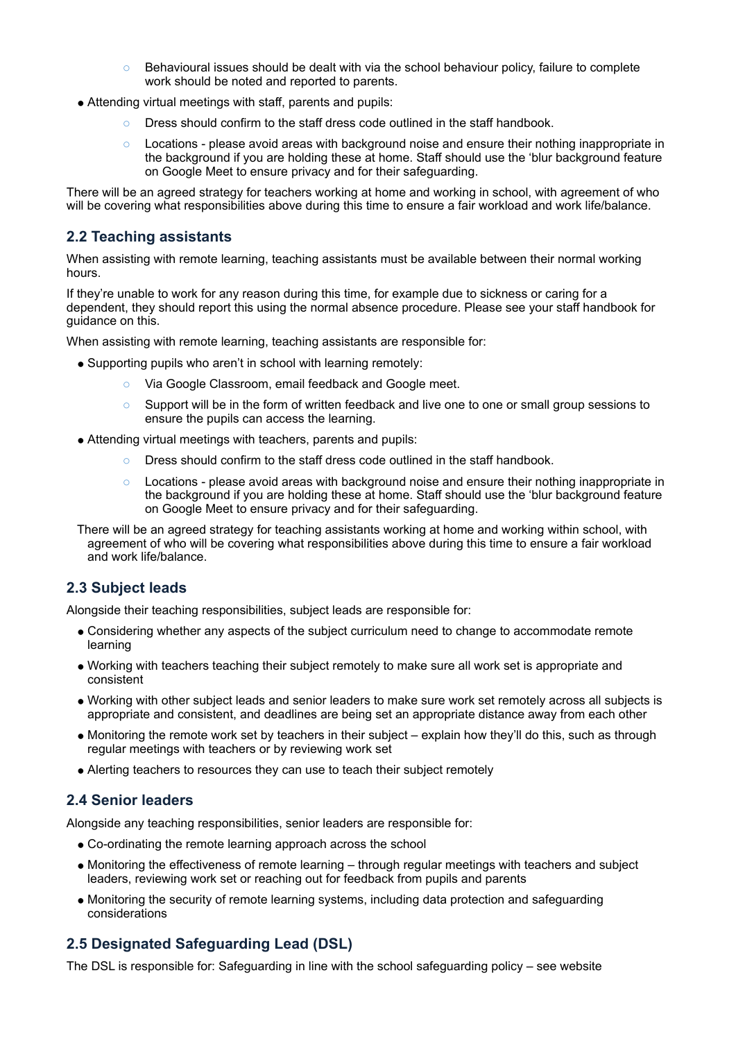- $\circ$  Behavioural issues should be dealt with via the school behaviour policy, failure to complete work should be noted and reported to parents.
- Attending virtual meetings with staff, parents and pupils:
	- o Dress should confirm to the staff dress code outlined in the staff handbook.
	- o Locations please avoid areas with background noise and ensure their nothing inappropriate in the background if you are holding these at home. Staff should use the 'blur background feature on Google Meet to ensure privacy and for their safeguarding.

There will be an agreed strategy for teachers working at home and working in school, with agreement of who will be covering what responsibilities above during this time to ensure a fair workload and work life/balance.

#### **2.2 Teaching assistants**

When assisting with remote learning, teaching assistants must be available between their normal working hours.

If they're unable to work for any reason during this time, for example due to sickness or caring for a dependent, they should report this using the normal absence procedure. Please see your staff handbook for guidance on this.

When assisting with remote learning, teaching assistants are responsible for:

- Supporting pupils who aren't in school with learning remotely:
	- o Via Google Classroom, email feedback and Google meet.
	- o Support will be in the form of written feedback and live one to one or small group sessions to ensure the pupils can access the learning.
- Attending virtual meetings with teachers, parents and pupils:
	- Dress should confirm to the staff dress code outlined in the staff handbook.
	- $\circ$  Locations please avoid areas with background noise and ensure their nothing inappropriate in the background if you are holding these at home. Staff should use the 'blur background feature on Google Meet to ensure privacy and for their safeguarding.

There will be an agreed strategy for teaching assistants working at home and working within school, with agreement of who will be covering what responsibilities above during this time to ensure a fair workload and work life/balance.

#### **2.3 Subject leads**

Alongside their teaching responsibilities, subject leads are responsible for:

- Considering whether any aspects of the subject curriculum need to change to accommodate remote learning
- Working with teachers teaching their subject remotely to make sure all work set is appropriate and consistent
- Working with other subject leads and senior leaders to make sure work set remotely across all subjects is appropriate and consistent, and deadlines are being set an appropriate distance away from each other
- Monitoring the remote work set by teachers in their subject explain how they'll do this, such as through regular meetings with teachers or by reviewing work set
- Alerting teachers to resources they can use to teach their subject remotely

#### **2.4 Senior leaders**

Alongside any teaching responsibilities, senior leaders are responsible for:

- Co-ordinating the remote learning approach across the school
- Monitoring the effectiveness of remote learning through regular meetings with teachers and subject leaders, reviewing work set or reaching out for feedback from pupils and parents
- Monitoring the security of remote learning systems, including data protection and safeguarding considerations

#### **2.5 Designated Safeguarding Lead (DSL)**

The DSL is responsible for: Safeguarding in line with the school safeguarding policy – see website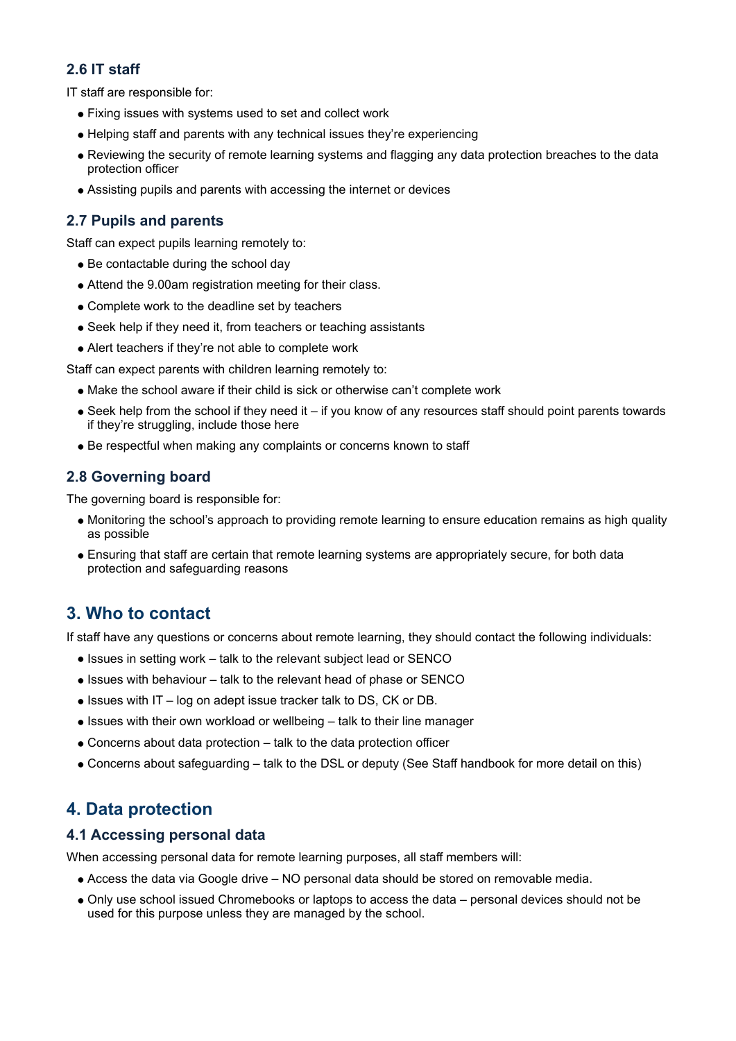#### **2.6 IT staff**

IT staff are responsible for:

- Fixing issues with systems used to set and collect work
- Helping staff and parents with any technical issues they're experiencing
- Reviewing the security of remote learning systems and flagging any data protection breaches to the data protection officer
- Assisting pupils and parents with accessing the internet or devices

#### **2.7 Pupils and parents**

Staff can expect pupils learning remotely to:

- Be contactable during the school day
- Attend the 9.00am registration meeting for their class.
- Complete work to the deadline set by teachers
- Seek help if they need it, from teachers or teaching assistants
- Alert teachers if they're not able to complete work

Staff can expect parents with children learning remotely to:

- Make the school aware if their child is sick or otherwise can't complete work
- $\bullet$  Seek help from the school if they need it if you know of any resources staff should point parents towards if they're struggling, include those here
- Be respectful when making any complaints or concerns known to staff

#### **2.8 Governing board**

The governing board is responsible for:

- Monitoring the school's approach to providing remote learning to ensure education remains as high quality as possible
- Ensuring that staff are certain that remote learning systems are appropriately secure, for both data protection and safeguarding reasons

## <span id="page-3-0"></span>**3. Who to contact**

If staff have any questions or concerns about remote learning, they should contact the following individuals:

- Issues in setting work talk to the relevant subject lead or SENCO
- Issues with behaviour talk to the relevant head of phase or SENCO
- Issues with IT log on adept issue tracker talk to DS, CK or DB.
- Issues with their own workload or wellbeing talk to their line manager
- $\bullet$  Concerns about data protection  $-$  talk to the data protection officer
- Concerns about safeguarding talk to the DSL or deputy (See Staff handbook for more detail on this)

## <span id="page-3-1"></span>**4. Data protection**

#### **4.1 Accessing personal data**

When accessing personal data for remote learning purposes, all staff members will:

- Access the data via Google drive NO personal data should be stored on removable media.
- Only use school issued Chromebooks or laptops to access the data personal devices should not be used for this purpose unless they are managed by the school.